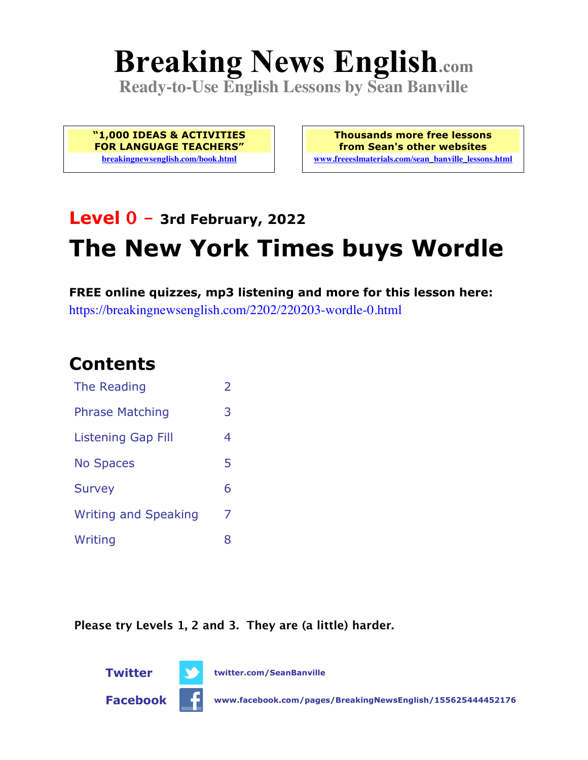# **Breaking News English.com**

**Ready-to-Use English Lessons by Sean Banville**

**"1,000 IDEAS & ACTIVITIES FOR LANGUAGE TEACHERS" breakingnewsenglish.com/book.html**

**Thousands more free lessons from Sean's other websites www.freeeslmaterials.com/sean\_banville\_lessons.html**

## **Level 0 - 3rd February, 2022 The New York Times buys Wordle**

**FREE online quizzes, mp3 listening and more for this lesson here:** https://breakingnewsenglish.com/2202/220203-wordle-0.html

#### **Contents**

| The Reading                 | $\overline{\phantom{a}}$ |
|-----------------------------|--------------------------|
| <b>Phrase Matching</b>      | З                        |
| <b>Listening Gap Fill</b>   | 4                        |
| <b>No Spaces</b>            | 5                        |
| <b>Survey</b>               | 6                        |
| <b>Writing and Speaking</b> | 7                        |
| Writing                     | 8                        |

**Please try Levels 1, 2 and 3. They are (a little) harder.**



**Twitter twitter.com/SeanBanville**

**Facebook www.facebook.com/pages/BreakingNewsEnglish/155625444452176**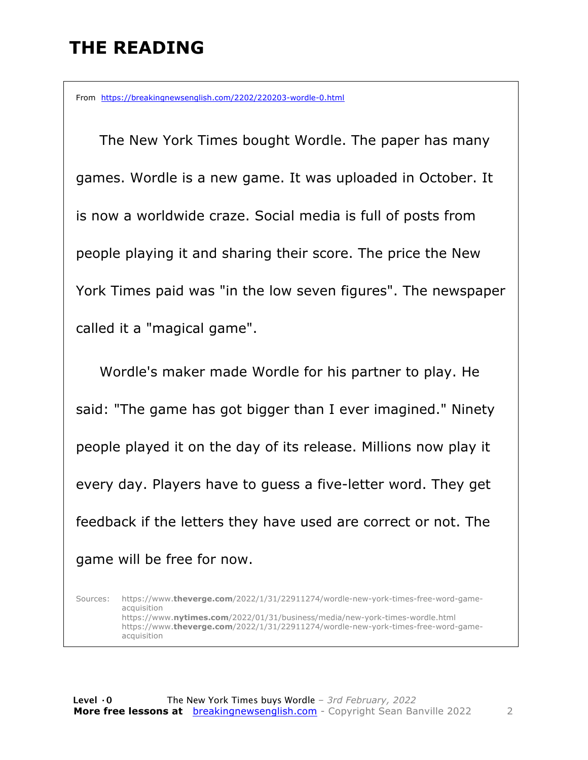#### **THE READING**

From https://breakingnewsenglish.com/2202/220203-wordle-0.html

 The New York Times bought Wordle. The paper has many games. Wordle is a new game. It was uploaded in October. It is now a worldwide craze. Social media is full of posts from people playing it and sharing their score. The price the New York Times paid was "in the low seven figures". The newspaper called it a "magical game".

Wordle's maker made Wordle for his partner to play. He said: "The game has got bigger than I ever imagined." Ninety people played it on the day of its release. Millions now play it every day. Players have to guess a five-letter word. They get feedback if the letters they have used are correct or not. The game will be free for now.

Sources: https://www.**theverge.com**/2022/1/31/22911274/wordle-new-york-times-free-word-gameacquisition https://www.**nytimes.com**/2022/01/31/business/media/new-york-times-wordle.html https://www.**theverge.com**/2022/1/31/22911274/wordle-new-york-times-free-word-gameacquisition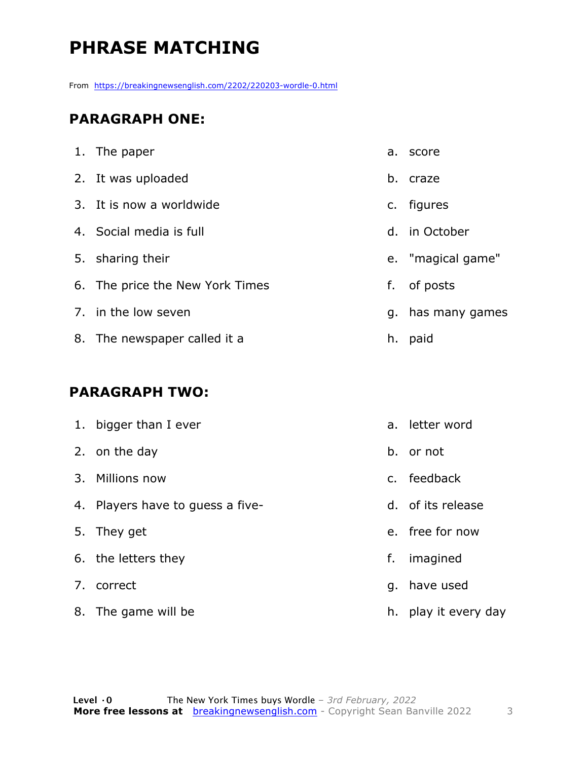### **PHRASE MATCHING**

From https://breakingnewsenglish.com/2202/220203-wordle-0.html

#### **PARAGRAPH ONE:**

| 1. The paper                    |    | a. score          |
|---------------------------------|----|-------------------|
| 2. It was uploaded              | b. | craze             |
| 3. It is now a worldwide        |    | c. figures        |
| 4. Social media is full         |    | d. in October     |
| 5. sharing their                |    | e. "magical game" |
| 6. The price the New York Times | f. | of posts          |
| 7. in the low seven             |    | g. has many games |
| 8. The newspaper called it a    |    | h. paid           |

#### **PARAGRAPH TWO:**

| 1. bigger than I ever            |    | a. letter word       |
|----------------------------------|----|----------------------|
| 2. on the day                    |    | b. or not            |
| 3. Millions now                  |    | c. feedback          |
| 4. Players have to guess a five- |    | d. of its release    |
| 5. They get                      |    | e. free for now      |
| 6. the letters they              | f. | imagined             |
| 7. correct                       |    | g. have used         |
| 8. The game will be              |    | h. play it every day |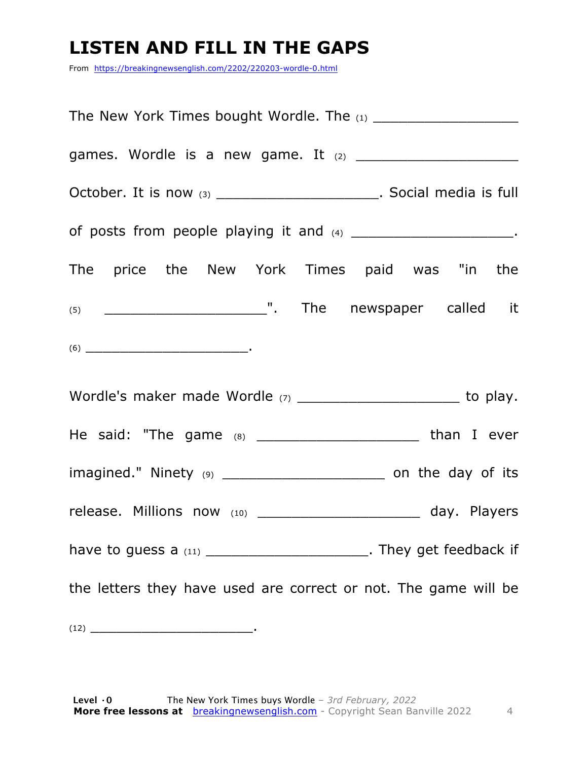#### **LISTEN AND FILL IN THE GAPS**

From https://breakingnewsenglish.com/2202/220203-wordle-0.html

| October. It is now $(3)$ ________________________. Social media is full                                                                                                                                                                                                                                                                                                                                    |  |  |  |  |
|------------------------------------------------------------------------------------------------------------------------------------------------------------------------------------------------------------------------------------------------------------------------------------------------------------------------------------------------------------------------------------------------------------|--|--|--|--|
| of posts from people playing it and (4) __________________________.                                                                                                                                                                                                                                                                                                                                        |  |  |  |  |
| The price the New York Times paid was "in the                                                                                                                                                                                                                                                                                                                                                              |  |  |  |  |
|                                                                                                                                                                                                                                                                                                                                                                                                            |  |  |  |  |
| $(6) \begin{tabular}{l} \hline \rule[1em]{1em}{1em} \rule[1em]{1em}{1em} \rule[1em]{1em}{1em} \rule[1em]{1em}{1em} \rule[1em]{1em}{1em} \rule[1em]{1em}{1em} \rule[1em]{1em}{1em} \rule[1em]{1em}{1em} \rule[1em]{1em}{1em} \rule[1em]{1em}{1em} \rule[1em]{1em}{1em} \rule[1em]{1em}{1em} \rule[1em]{1em}{1em} \rule[1em]{1em}{1em} \rule[1em]{1em}{1em} \rule[1em]{1em}{1em} \rule[1em]{1em}{1em} \rule$ |  |  |  |  |
|                                                                                                                                                                                                                                                                                                                                                                                                            |  |  |  |  |
| He said: "The game (8) ___________________________ than I ever                                                                                                                                                                                                                                                                                                                                             |  |  |  |  |
| imagined." Ninety (9) ________________________________ on the day of its                                                                                                                                                                                                                                                                                                                                   |  |  |  |  |
| release. Millions now (10) ________________________ day. Players                                                                                                                                                                                                                                                                                                                                           |  |  |  |  |
| have to guess a $(11)$ ________________________________. They get feedback if                                                                                                                                                                                                                                                                                                                              |  |  |  |  |
| the letters they have used are correct or not. The game will be                                                                                                                                                                                                                                                                                                                                            |  |  |  |  |
|                                                                                                                                                                                                                                                                                                                                                                                                            |  |  |  |  |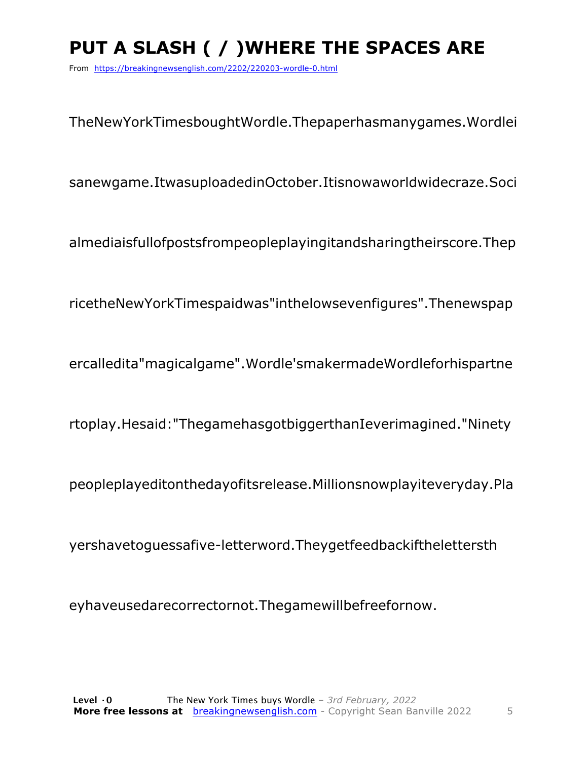## **PUT A SLASH ( / )WHERE THE SPACES ARE**

From https://breakingnewsenglish.com/2202/220203-wordle-0.html

TheNewYorkTimesboughtWordle.Thepaperhasmanygames.Wordlei

sanewgame.ItwasuploadedinOctober.Itisnowaworldwidecraze.Soci

almediaisfullofpostsfrompeopleplayingitandsharingtheirscore.Thep

ricetheNewYorkTimespaidwas"inthelowsevenfigures".Thenewspap

ercalledita"magicalgame".Wordle'smakermadeWordleforhispartne

rtoplay.Hesaid:"ThegamehasgotbiggerthanIeverimagined."Ninety

peopleplayeditonthedayofitsrelease.Millionsnowplayiteveryday.Pla

yershavetoguessafive-letterword.Theygetfeedbackifthelettersth

eyhaveusedarecorrectornot.Thegamewillbefreefornow.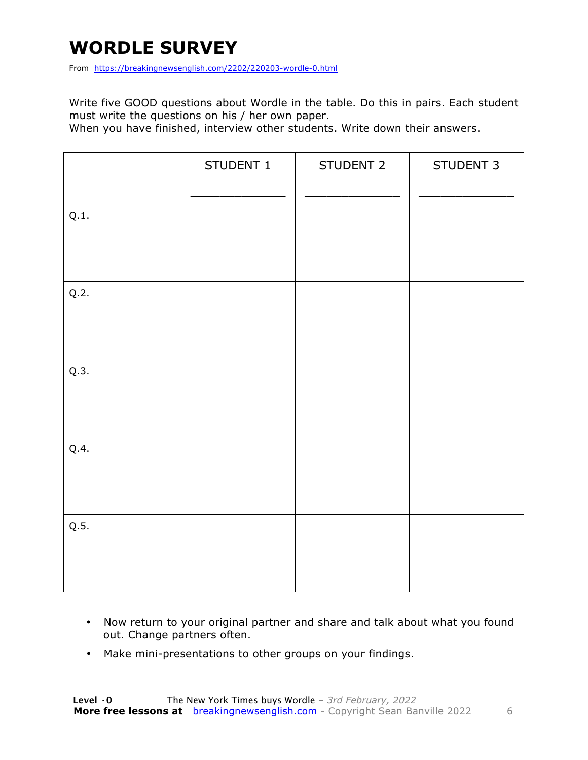#### **WORDLE SURVEY**

From https://breakingnewsenglish.com/2202/220203-wordle-0.html

Write five GOOD questions about Wordle in the table. Do this in pairs. Each student must write the questions on his / her own paper.

When you have finished, interview other students. Write down their answers.

|      | STUDENT 1 | STUDENT 2 | STUDENT 3 |
|------|-----------|-----------|-----------|
| Q.1. |           |           |           |
| Q.2. |           |           |           |
| Q.3. |           |           |           |
| Q.4. |           |           |           |
| Q.5. |           |           |           |

- Now return to your original partner and share and talk about what you found out. Change partners often.
- Make mini-presentations to other groups on your findings.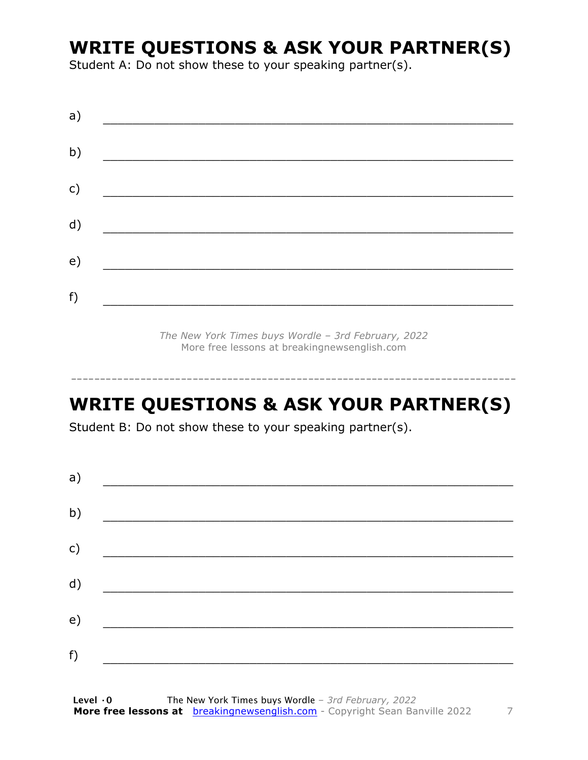#### **WRITE QUESTIONS & ASK YOUR PARTNER(S)**

Student A: Do not show these to your speaking partner(s).

*The New York Times buys Wordle – 3rd February, 2022* More free lessons at breakingnewsenglish.com

#### **WRITE QUESTIONS & ASK YOUR PARTNER(S)**

-----------------------------------------------------------------------------

Student B: Do not show these to your speaking partner(s).

| a) |  |  |
|----|--|--|
| b) |  |  |
| c) |  |  |
| d) |  |  |
| e) |  |  |
| f) |  |  |
|    |  |  |